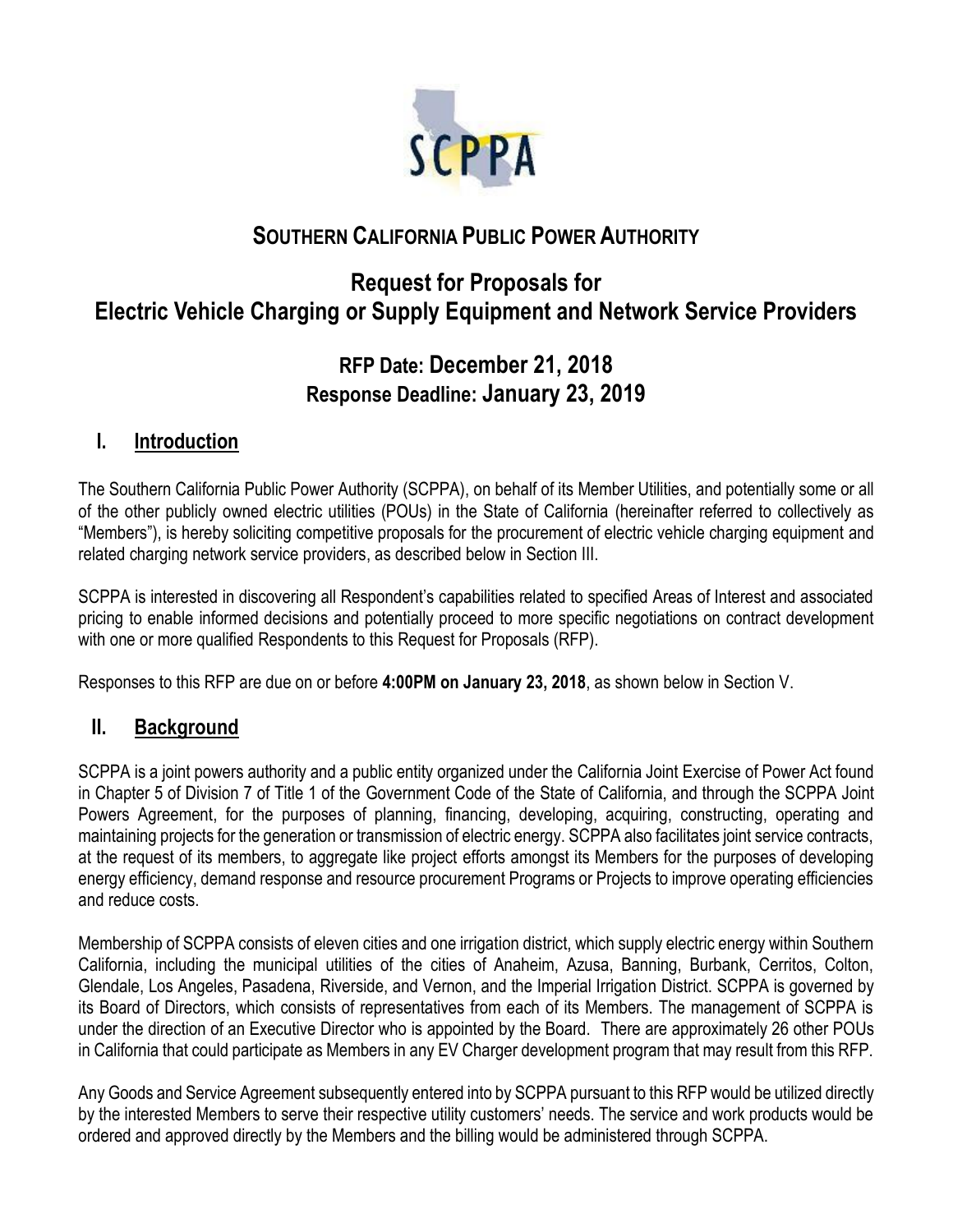

# **SOUTHERN CALIFORNIA PUBLIC POWER AUTHORITY**

# **Request for Proposals for Electric Vehicle Charging or Supply Equipment and Network Service Providers**

# **RFP Date: December 21, 2018 Response Deadline: January 23, 2019**

## **I. Introduction**

The Southern California Public Power Authority (SCPPA), on behalf of its Member Utilities, and potentially some or all of the other publicly owned electric utilities (POUs) in the State of California (hereinafter referred to collectively as "Members"), is hereby soliciting competitive proposals for the procurement of electric vehicle charging equipment and related charging network service providers, as described below in Section III.

SCPPA is interested in discovering all Respondent's capabilities related to specified Areas of Interest and associated pricing to enable informed decisions and potentially proceed to more specific negotiations on contract development with one or more qualified Respondents to this Request for Proposals (RFP).

Responses to this RFP are due on or before **4:00PM on January 23, 2018**, as shown below in Section V.

# **II. Background**

SCPPA is a joint powers authority and a public entity organized under the California Joint Exercise of Power Act found in Chapter 5 of Division 7 of Title 1 of the Government Code of the State of California, and through the SCPPA Joint Powers Agreement, for the purposes of planning, financing, developing, acquiring, constructing, operating and maintaining projects for the generation or transmission of electric energy. SCPPA also facilitates joint service contracts, at the request of its members, to aggregate like project efforts amongst its Members for the purposes of developing energy efficiency, demand response and resource procurement Programs or Projects to improve operating efficiencies and reduce costs.

Membership of SCPPA consists of eleven cities and one irrigation district, which supply electric energy within Southern California, including the municipal utilities of the cities of Anaheim, Azusa, Banning, Burbank, Cerritos, Colton, Glendale, Los Angeles, Pasadena, Riverside, and Vernon, and the Imperial Irrigation District. SCPPA is governed by its Board of Directors, which consists of representatives from each of its Members. The management of SCPPA is under the direction of an Executive Director who is appointed by the Board. There are approximately 26 other POUs in California that could participate as Members in any EV Charger development program that may result from this RFP.

Any Goods and Service Agreement subsequently entered into by SCPPA pursuant to this RFP would be utilized directly by the interested Members to serve their respective utility customers' needs. The service and work products would be ordered and approved directly by the Members and the billing would be administered through SCPPA.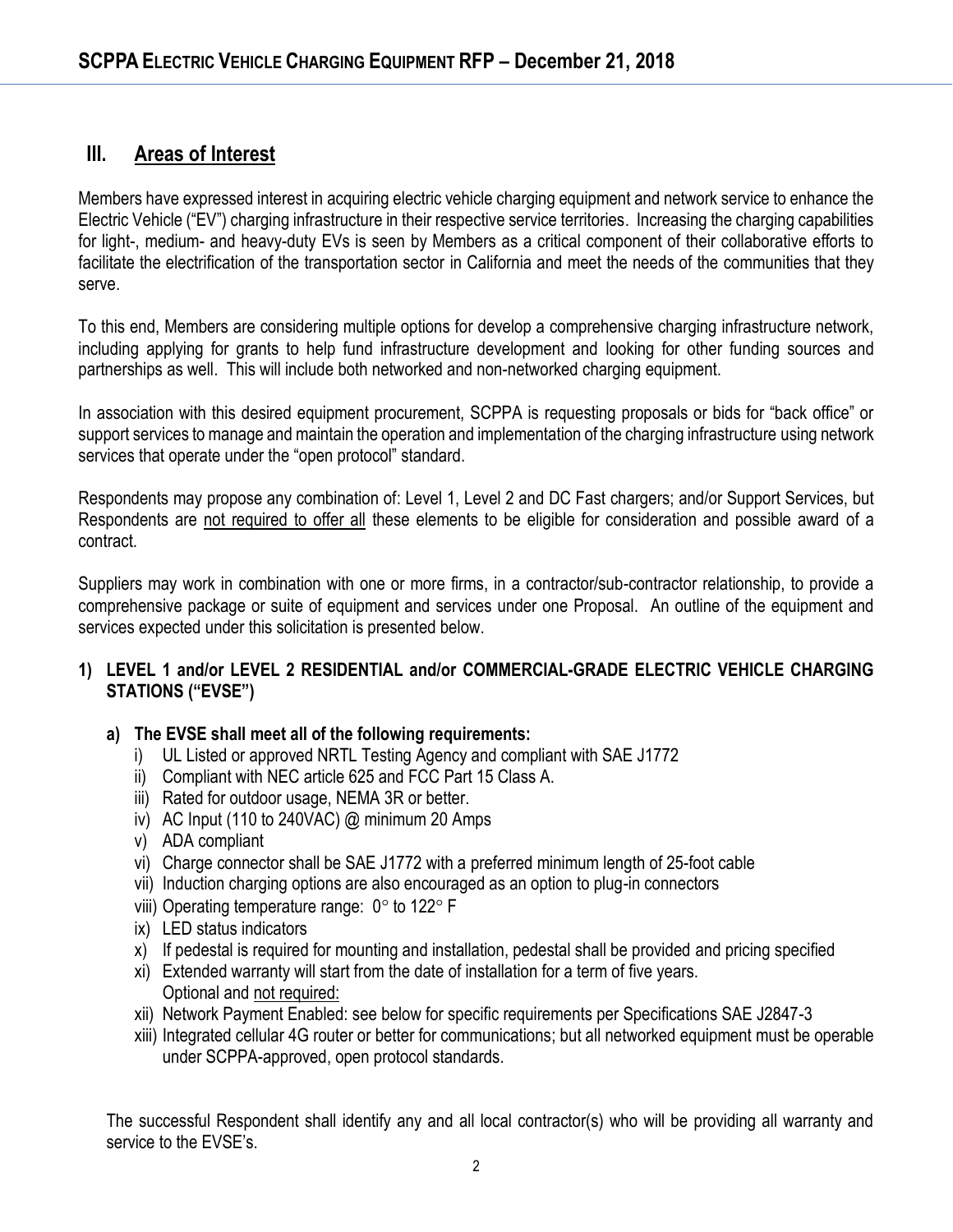## **III. Areas of Interest**

Members have expressed interest in acquiring electric vehicle charging equipment and network service to enhance the Electric Vehicle ("EV") charging infrastructure in their respective service territories. Increasing the charging capabilities for light-, medium- and heavy-duty EVs is seen by Members as a critical component of their collaborative efforts to facilitate the electrification of the transportation sector in California and meet the needs of the communities that they serve.

To this end, Members are considering multiple options for develop a comprehensive charging infrastructure network, including applying for grants to help fund infrastructure development and looking for other funding sources and partnerships as well. This will include both networked and non-networked charging equipment.

In association with this desired equipment procurement, SCPPA is requesting proposals or bids for "back office" or support services to manage and maintain the operation and implementation of the charging infrastructure using network services that operate under the "open protocol" standard.

Respondents may propose any combination of: Level 1, Level 2 and DC Fast chargers; and/or Support Services, but Respondents are not required to offer all these elements to be eligible for consideration and possible award of a contract.

Suppliers may work in combination with one or more firms, in a contractor/sub-contractor relationship, to provide a comprehensive package or suite of equipment and services under one Proposal. An outline of the equipment and services expected under this solicitation is presented below.

#### **1) LEVEL 1 and/or LEVEL 2 RESIDENTIAL and/or COMMERCIAL-GRADE ELECTRIC VEHICLE CHARGING STATIONS ("EVSE")**

#### **a) The EVSE shall meet all of the following requirements:**

- i) UL Listed or approved NRTL Testing Agency and compliant with SAE J1772
- ii) Compliant with NEC article 625 and FCC Part 15 Class A.
- iii) Rated for outdoor usage, NEMA 3R or better.
- iv) AC Input (110 to 240VAC) @ minimum 20 Amps
- v) ADA compliant
- vi) Charge connector shall be SAE J1772 with a preferred minimum length of 25-foot cable
- vii) Induction charging options are also encouraged as an option to plug-in connectors
- viii) Operating temperature range:  $0^\circ$  to 122 $^\circ$  F
- ix) LED status indicators
- x) If pedestal is required for mounting and installation, pedestal shall be provided and pricing specified
- xi) Extended warranty will start from the date of installation for a term of five years. Optional and not required:
- xii) Network Payment Enabled: see below for specific requirements per Specifications SAE J2847-3
- xiii) Integrated cellular 4G router or better for communications; but all networked equipment must be operable under SCPPA-approved, open protocol standards.

The successful Respondent shall identify any and all local contractor(s) who will be providing all warranty and service to the EVSE's.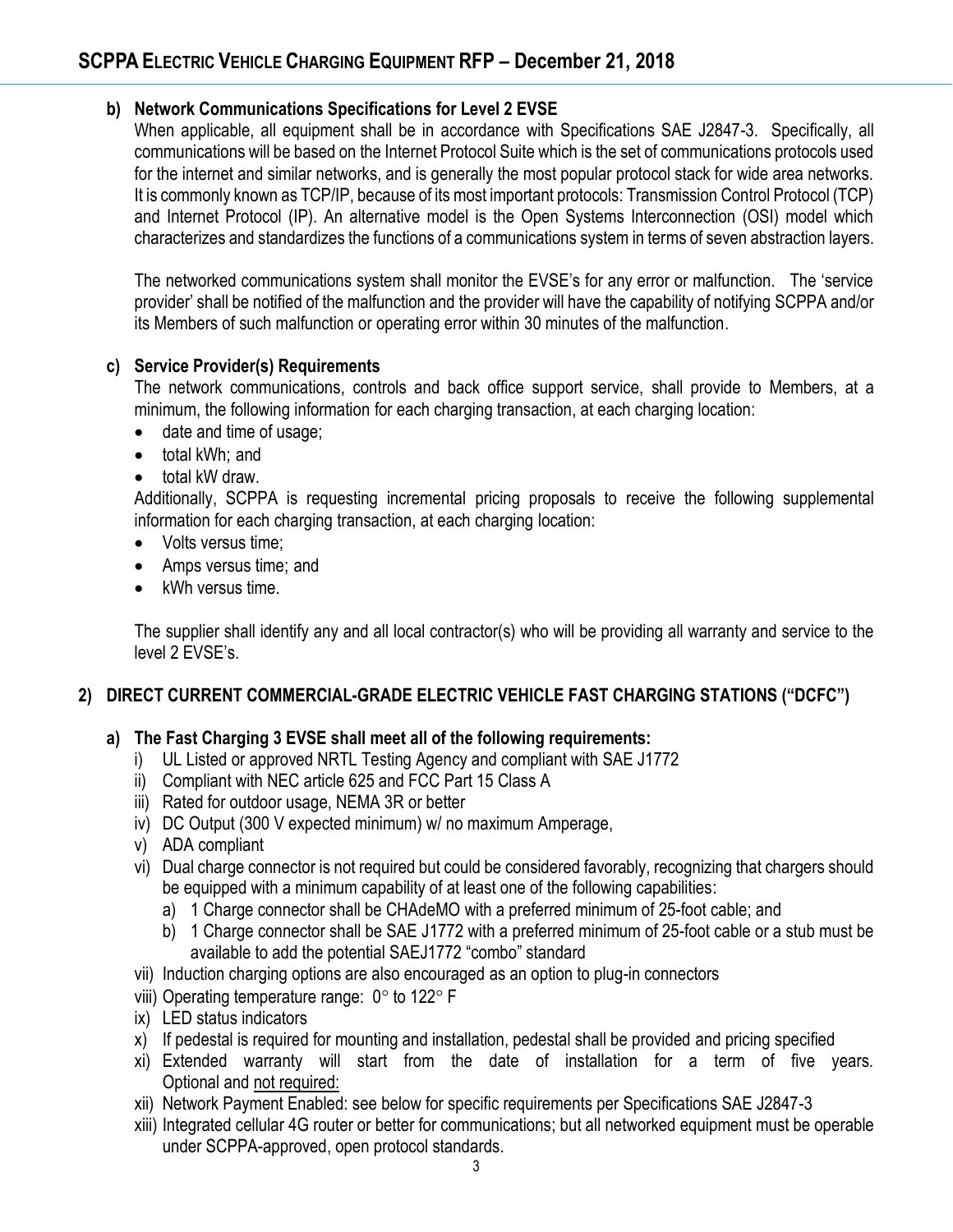#### **b) Network Communications Specifications for Level 2 EVSE**

When applicable, all equipment shall be in accordance with Specifications SAE J2847-3. Specifically, all communications will be based on the Internet Protocol Suite which is the set of communications protocols used for the internet and similar networks, and is generally the most popular protocol stack for wide area networks. It is commonly known as TCP/IP, because of its most important protocols: Transmission Control Protocol (TCP) and Internet Protocol (IP). An alternative model is the Open Systems Interconnection (OSI) model which characterizes and standardizes the functions of a communications system in terms of seven abstraction layers.

The networked communications system shall monitor the EVSE's for any error or malfunction. The 'service provider' shall be notified of the malfunction and the provider will have the capability of notifying SCPPA and/or its Members of such malfunction or operating error within 30 minutes of the malfunction.

#### **c) Service Provider(s) Requirements**

The network communications, controls and back office support service, shall provide to Members, at a minimum, the following information for each charging transaction, at each charging location:

- date and time of usage;
- total kWh; and
- total kW draw.

Additionally, SCPPA is requesting incremental pricing proposals to receive the following supplemental information for each charging transaction, at each charging location:

- Volts versus time:
- Amps versus time; and
- kWh versus time.

The supplier shall identify any and all local contractor(s) who will be providing all warranty and service to the level 2 EVSE's.

### **2) DIRECT CURRENT COMMERCIAL-GRADE ELECTRIC VEHICLE FAST CHARGING STATIONS ("DCFC")**

### **a) The Fast Charging 3 EVSE shall meet all of the following requirements:**

- i) UL Listed or approved NRTL Testing Agency and compliant with SAE J1772
- ii) Compliant with NEC article 625 and FCC Part 15 Class A
- iii) Rated for outdoor usage, NEMA 3R or better
- iv) DC Output (300 V expected minimum) w/ no maximum Amperage,
- v) ADA compliant
- vi) Dual charge connector is not required but could be considered favorably, recognizing that chargers should be equipped with a minimum capability of at least one of the following capabilities:
	- a) 1 Charge connector shall be CHAdeMO with a preferred minimum of 25-foot cable; and
	- b) 1 Charge connector shall be SAE J1772 with a preferred minimum of 25-foot cable or a stub must be available to add the potential SAEJ1772 "combo" standard
- vii) Induction charging options are also encouraged as an option to plug-in connectors
- viii) Operating temperature range:  $0^\circ$  to 122 $^\circ$  F
- ix) LED status indicators
- x) If pedestal is required for mounting and installation, pedestal shall be provided and pricing specified
- xi) Extended warranty will start from the date of installation for a term of five years. Optional and not required:
- xii) Network Payment Enabled: see below for specific requirements per Specifications SAE J2847-3
- xiii) Integrated cellular 4G router or better for communications; but all networked equipment must be operable under SCPPA-approved, open protocol standards.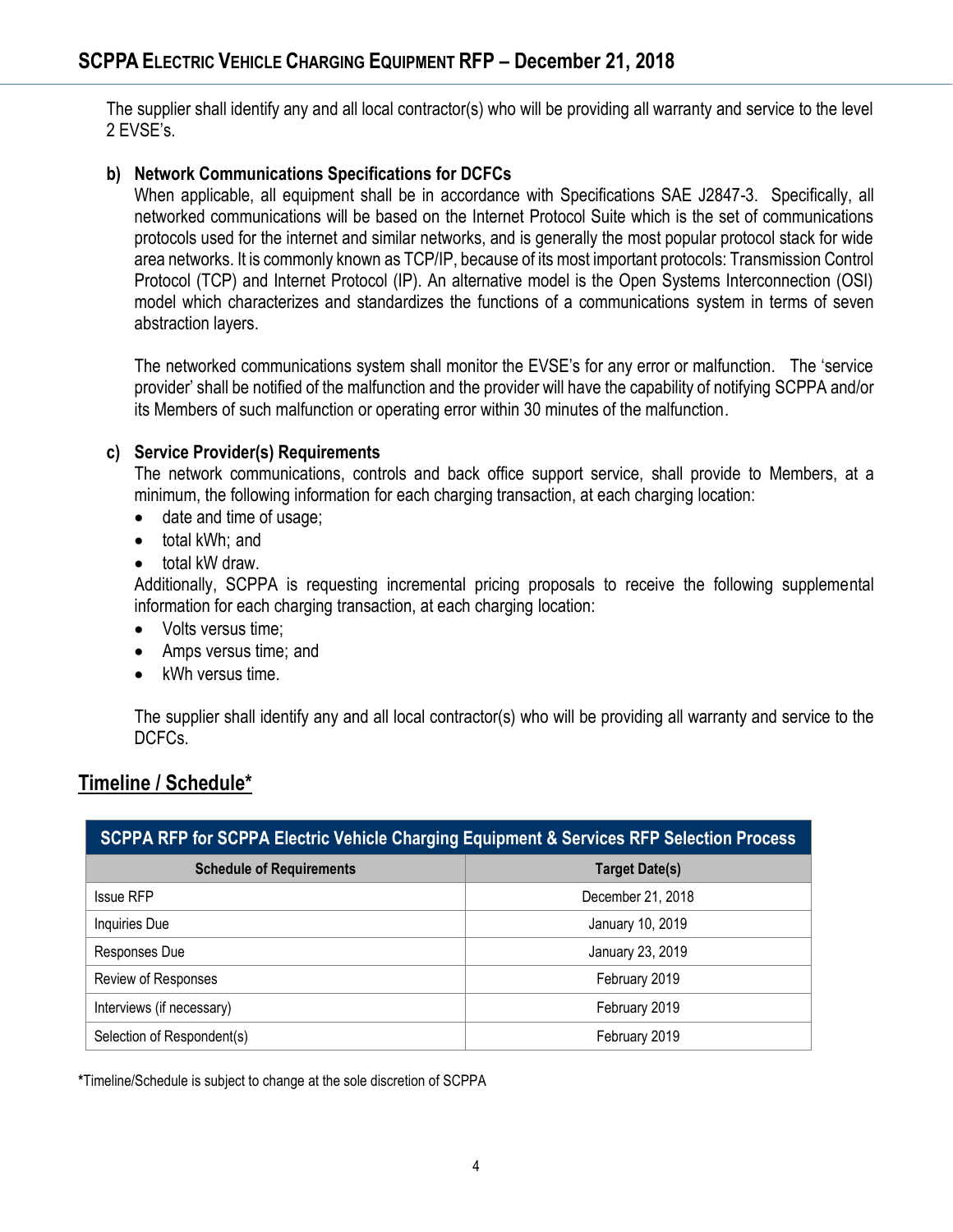The supplier shall identify any and all local contractor(s) who will be providing all warranty and service to the level 2 EVSE's.

### **b) Network Communications Specifications for DCFCs**

When applicable, all equipment shall be in accordance with Specifications SAE J2847-3. Specifically, all networked communications will be based on the Internet Protocol Suite which is the set of communications protocols used for the internet and similar networks, and is generally the most popular protocol stack for wide area networks. It is commonly known as TCP/IP, because of its most important protocols: Transmission Control Protocol (TCP) and Internet Protocol (IP). An alternative model is the Open Systems Interconnection (OSI) model which characterizes and standardizes the functions of a communications system in terms of seven abstraction layers.

The networked communications system shall monitor the EVSE's for any error or malfunction. The 'service provider' shall be notified of the malfunction and the provider will have the capability of notifying SCPPA and/or its Members of such malfunction or operating error within 30 minutes of the malfunction.

#### **c) Service Provider(s) Requirements**

The network communications, controls and back office support service, shall provide to Members, at a minimum, the following information for each charging transaction, at each charging location:

- date and time of usage;
- total kWh; and
- total kW draw.

Additionally, SCPPA is requesting incremental pricing proposals to receive the following supplemental information for each charging transaction, at each charging location:

- Volts versus time:
- Amps versus time; and
- kWh versus time.

The supplier shall identify any and all local contractor(s) who will be providing all warranty and service to the DCFCs.

# **Timeline / Schedule\***

| <b>SCPPA RFP for SCPPA Electric Vehicle Charging Equipment &amp; Services RFP Selection Process</b> |                       |
|-----------------------------------------------------------------------------------------------------|-----------------------|
| <b>Schedule of Requirements</b>                                                                     | <b>Target Date(s)</b> |
| <b>Issue RFP</b>                                                                                    | December 21, 2018     |
| Inquiries Due                                                                                       | January 10, 2019      |
| Responses Due                                                                                       | January 23, 2019      |
| Review of Responses                                                                                 | February 2019         |
| Interviews (if necessary)                                                                           | February 2019         |
| Selection of Respondent(s)                                                                          | February 2019         |

**\***Timeline/Schedule is subject to change at the sole discretion of SCPPA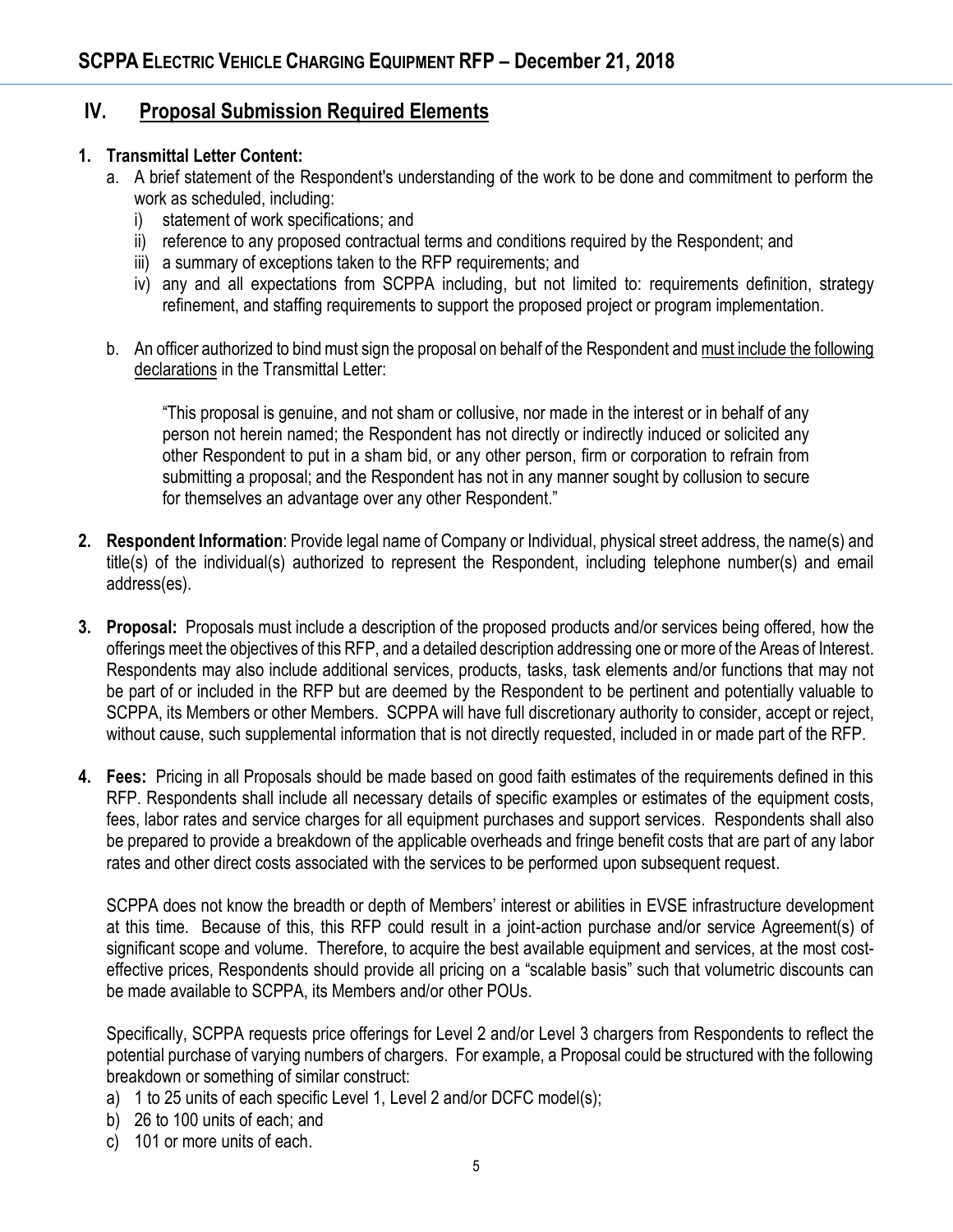## **IV. Proposal Submission Required Elements**

#### **1. Transmittal Letter Content:**

- a. A brief statement of the Respondent's understanding of the work to be done and commitment to perform the work as scheduled, including:
	- i) statement of work specifications; and
	- ii) reference to any proposed contractual terms and conditions required by the Respondent; and
	- iii) a summary of exceptions taken to the RFP requirements; and
	- iv) any and all expectations from SCPPA including, but not limited to: requirements definition, strategy refinement, and staffing requirements to support the proposed project or program implementation.
- b. An officer authorized to bind must sign the proposal on behalf of the Respondent and must include the following declarations in the Transmittal Letter:

"This proposal is genuine, and not sham or collusive, nor made in the interest or in behalf of any person not herein named; the Respondent has not directly or indirectly induced or solicited any other Respondent to put in a sham bid, or any other person, firm or corporation to refrain from submitting a proposal; and the Respondent has not in any manner sought by collusion to secure for themselves an advantage over any other Respondent."

- **2. Respondent Information**: Provide legal name of Company or Individual, physical street address, the name(s) and title(s) of the individual(s) authorized to represent the Respondent, including telephone number(s) and email address(es).
- **3. Proposal:** Proposals must include a description of the proposed products and/or services being offered, how the offerings meet the objectives of this RFP, and a detailed description addressing one or more of the Areas of Interest. Respondents may also include additional services, products, tasks, task elements and/or functions that may not be part of or included in the RFP but are deemed by the Respondent to be pertinent and potentially valuable to SCPPA, its Members or other Members. SCPPA will have full discretionary authority to consider, accept or reject, without cause, such supplemental information that is not directly requested, included in or made part of the RFP.
- **4. Fees:** Pricing in all Proposals should be made based on good faith estimates of the requirements defined in this RFP. Respondents shall include all necessary details of specific examples or estimates of the equipment costs, fees, labor rates and service charges for all equipment purchases and support services. Respondents shall also be prepared to provide a breakdown of the applicable overheads and fringe benefit costs that are part of any labor rates and other direct costs associated with the services to be performed upon subsequent request.

SCPPA does not know the breadth or depth of Members' interest or abilities in EVSE infrastructure development at this time. Because of this, this RFP could result in a joint-action purchase and/or service Agreement(s) of significant scope and volume. Therefore, to acquire the best available equipment and services, at the most costeffective prices, Respondents should provide all pricing on a "scalable basis" such that volumetric discounts can be made available to SCPPA, its Members and/or other POUs.

Specifically, SCPPA requests price offerings for Level 2 and/or Level 3 chargers from Respondents to reflect the potential purchase of varying numbers of chargers. For example, a Proposal could be structured with the following breakdown or something of similar construct:

- a) 1 to 25 units of each specific Level 1, Level 2 and/or DCFC model(s);
- b) 26 to 100 units of each; and
- c) 101 or more units of each.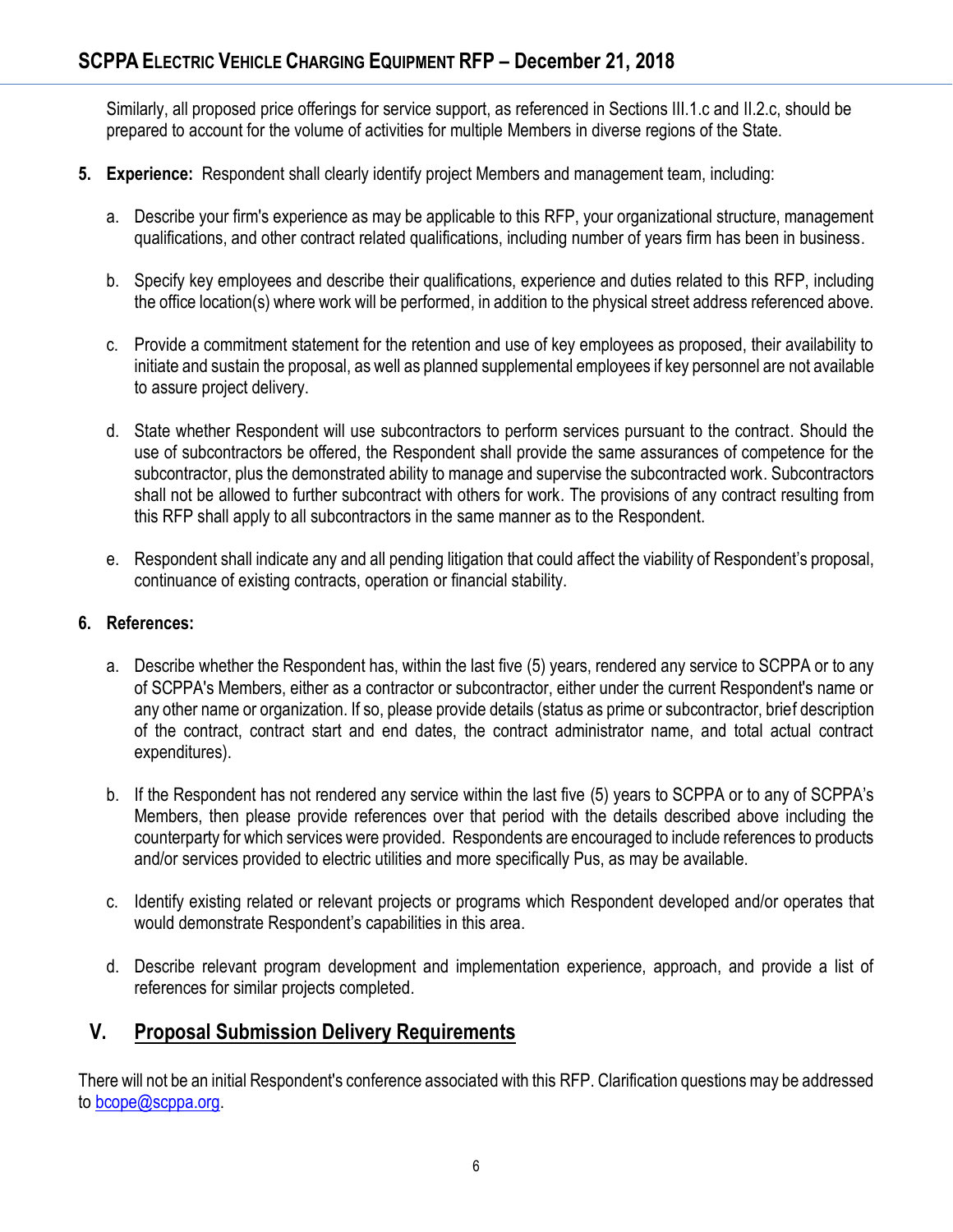Similarly, all proposed price offerings for service support, as referenced in Sections III.1.c and II.2.c, should be prepared to account for the volume of activities for multiple Members in diverse regions of the State.

- **5. Experience:** Respondent shall clearly identify project Members and management team, including:
	- a. Describe your firm's experience as may be applicable to this RFP, your organizational structure, management qualifications, and other contract related qualifications, including number of years firm has been in business.
	- b. Specify key employees and describe their qualifications, experience and duties related to this RFP, including the office location(s) where work will be performed, in addition to the physical street address referenced above.
	- c. Provide a commitment statement for the retention and use of key employees as proposed, their availability to initiate and sustain the proposal, as well as planned supplemental employees if key personnel are not available to assure project delivery.
	- d. State whether Respondent will use subcontractors to perform services pursuant to the contract. Should the use of subcontractors be offered, the Respondent shall provide the same assurances of competence for the subcontractor, plus the demonstrated ability to manage and supervise the subcontracted work. Subcontractors shall not be allowed to further subcontract with others for work. The provisions of any contract resulting from this RFP shall apply to all subcontractors in the same manner as to the Respondent.
	- e. Respondent shall indicate any and all pending litigation that could affect the viability of Respondent's proposal, continuance of existing contracts, operation or financial stability.

#### **6. References:**

- a. Describe whether the Respondent has, within the last five (5) years, rendered any service to SCPPA or to any of SCPPA's Members, either as a contractor or subcontractor, either under the current Respondent's name or any other name or organization. If so, please provide details (status as prime or subcontractor, brief description of the contract, contract start and end dates, the contract administrator name, and total actual contract expenditures).
- b. If the Respondent has not rendered any service within the last five (5) years to SCPPA or to any of SCPPA's Members, then please provide references over that period with the details described above including the counterparty for which services were provided. Respondents are encouraged to include references to products and/or services provided to electric utilities and more specifically Pus, as may be available.
- c. Identify existing related or relevant projects or programs which Respondent developed and/or operates that would demonstrate Respondent's capabilities in this area.
- d. Describe relevant program development and implementation experience, approach, and provide a list of references for similar projects completed.

## **V. Proposal Submission Delivery Requirements**

There will not be an initial Respondent's conference associated with this RFP. Clarification questions may be addressed to [bcope@scppa.org.](mailto:bcope@scppa.org)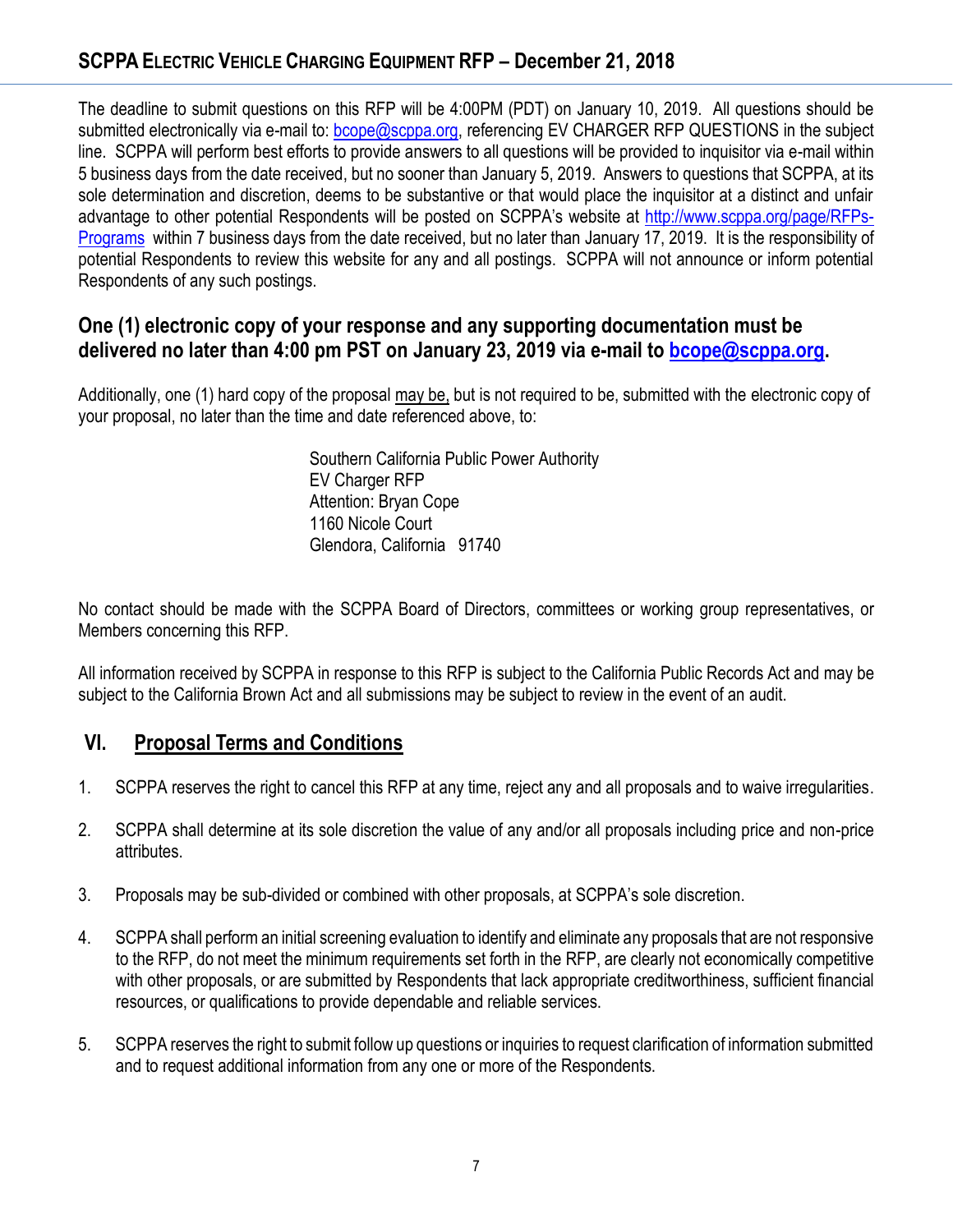## **SCPPA ELECTRIC VEHICLE CHARGING EQUIPMENT RFP – December 21, 2018**

The deadline to submit questions on this RFP will be 4:00PM (PDT) on January 10, 2019. All questions should be submitted electronically via e-mail to: [bcope@scppa.org,](file://///app-server/data/RFPs_RFQs_RFIs/Public%20Benefits%20Committee/Paperless%20Rebate%20Automation/RFP/bcope@scppa.org) referencing EV CHARGER RFP QUESTIONS in the subject line. SCPPA will perform best efforts to provide answers to all questions will be provided to inquisitor via e-mail within 5 business days from the date received, but no sooner than January 5, 2019. Answers to questions that SCPPA, at its sole determination and discretion, deems to be substantive or that would place the inquisitor at a distinct and unfair advantage to other potential Respondents will be posted on SCPPA's website at [http://www.scppa.org/page/RFPs-](http://www.scppa.org/page/RFPs-Programs)[Programs](http://www.scppa.org/page/RFPs-Programs) within 7 business days from the date received, but no later than January 17, 2019. It is the responsibility of potential Respondents to review this website for any and all postings. SCPPA will not announce or inform potential Respondents of any such postings.

## **One (1) electronic copy of your response and any supporting documentation must be delivered no later than 4:00 pm PST on January 23, 2019 via e-mail to [bcope@scppa.org.](bcope@scppa.org)**

Additionally, one (1) hard copy of the proposal may be, but is not required to be, submitted with the electronic copy of your proposal, no later than the time and date referenced above, to:

> Southern California Public Power Authority EV Charger RFP Attention: Bryan Cope 1160 Nicole Court Glendora, California 91740

No contact should be made with the SCPPA Board of Directors, committees or working group representatives, or Members concerning this RFP.

All information received by SCPPA in response to this RFP is subject to the California Public Records Act and may be subject to the California Brown Act and all submissions may be subject to review in the event of an audit.

## **VI. Proposal Terms and Conditions**

- 1. SCPPA reserves the right to cancel this RFP at any time, reject any and all proposals and to waive irregularities.
- 2. SCPPA shall determine at its sole discretion the value of any and/or all proposals including price and non-price attributes.
- 3. Proposals may be sub-divided or combined with other proposals, at SCPPA's sole discretion.
- 4. SCPPA shall perform an initial screening evaluation to identify and eliminate any proposals that are not responsive to the RFP, do not meet the minimum requirements set forth in the RFP, are clearly not economically competitive with other proposals, or are submitted by Respondents that lack appropriate creditworthiness, sufficient financial resources, or qualifications to provide dependable and reliable services.
- 5. SCPPA reserves the right to submit follow up questions or inquiries to request clarification of information submitted and to request additional information from any one or more of the Respondents.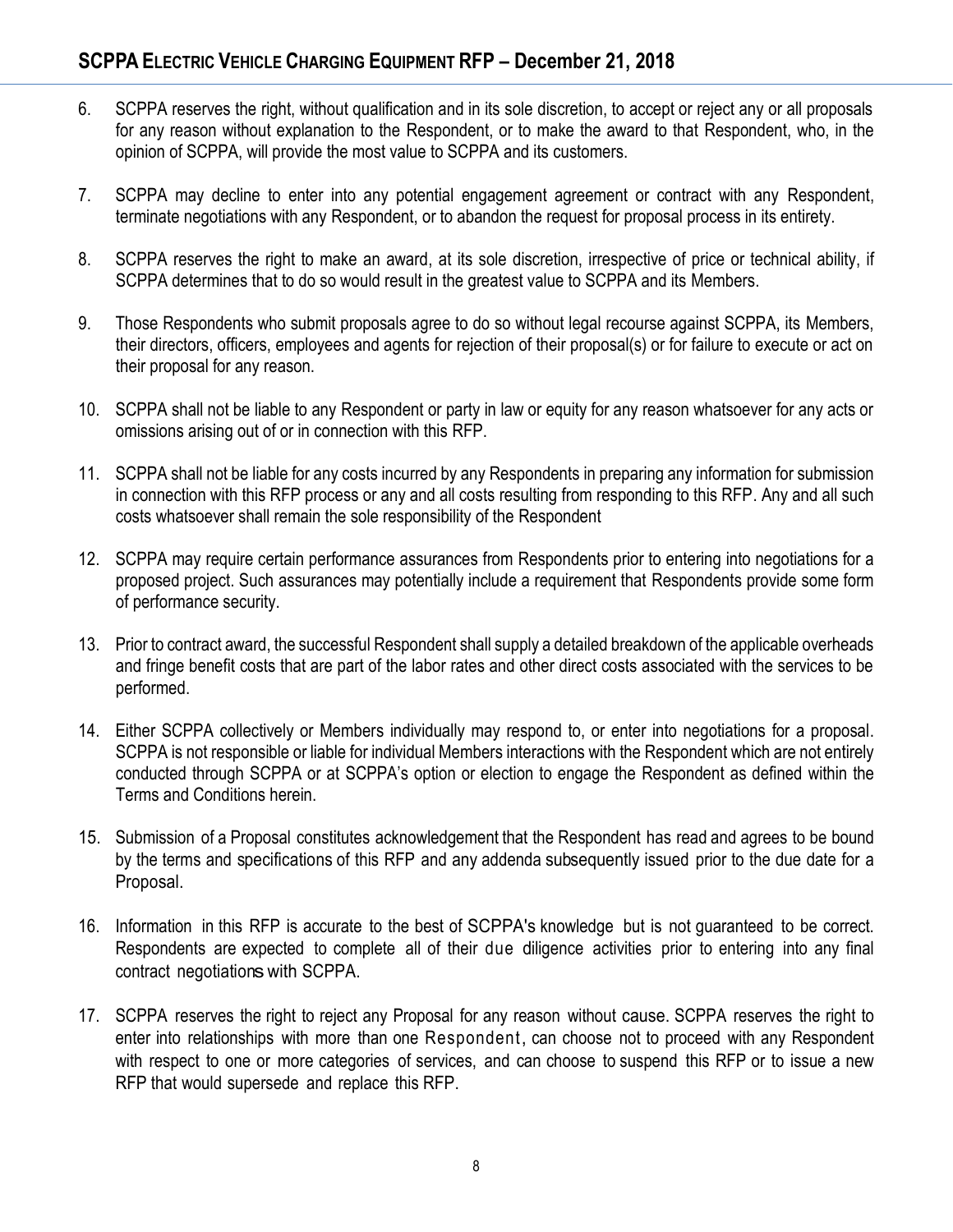- 6. SCPPA reserves the right, without qualification and in its sole discretion, to accept or reject any or all proposals for any reason without explanation to the Respondent, or to make the award to that Respondent, who, in the opinion of SCPPA, will provide the most value to SCPPA and its customers.
- 7. SCPPA may decline to enter into any potential engagement agreement or contract with any Respondent, terminate negotiations with any Respondent, or to abandon the request for proposal process in its entirety.
- 8. SCPPA reserves the right to make an award, at its sole discretion, irrespective of price or technical ability, if SCPPA determines that to do so would result in the greatest value to SCPPA and its Members.
- 9. Those Respondents who submit proposals agree to do so without legal recourse against SCPPA, its Members, their directors, officers, employees and agents for rejection of their proposal(s) or for failure to execute or act on their proposal for any reason.
- 10. SCPPA shall not be liable to any Respondent or party in law or equity for any reason whatsoever for any acts or omissions arising out of or in connection with this RFP.
- 11. SCPPA shall not be liable for any costs incurred by any Respondents in preparing any information for submission in connection with this RFP process or any and all costs resulting from responding to this RFP. Any and all such costs whatsoever shall remain the sole responsibility of the Respondent
- 12. SCPPA may require certain performance assurances from Respondents prior to entering into negotiations for a proposed project. Such assurances may potentially include a requirement that Respondents provide some form of performance security.
- 13. Prior to contract award, the successful Respondent shall supply a detailed breakdown of the applicable overheads and fringe benefit costs that are part of the labor rates and other direct costs associated with the services to be performed.
- 14. Either SCPPA collectively or Members individually may respond to, or enter into negotiations for a proposal. SCPPA is not responsible or liable for individual Members interactions with the Respondent which are not entirely conducted through SCPPA or at SCPPA's option or election to engage the Respondent as defined within the Terms and Conditions herein.
- 15. Submission of a Proposal constitutes acknowledgement that the Respondent has read and agrees to be bound by the terms and specifications of this RFP and any addenda subsequently issued prior to the due date for a Proposal.
- 16. Information in this RFP is accurate to the best of SCPPA's knowledge but is not guaranteed to be correct. Respondents are expected to complete all of their due diligence activities prior to entering into any final contract negotiations with SCPPA.
- 17. SCPPA reserves the right to reject any Proposal for any reason without cause. SCPPA reserves the right to enter into relationships with more than one Respondent, can choose not to proceed with any Respondent with respect to one or more categories of services, and can choose to suspend this RFP or to issue a new RFP that would supersede and replace this RFP.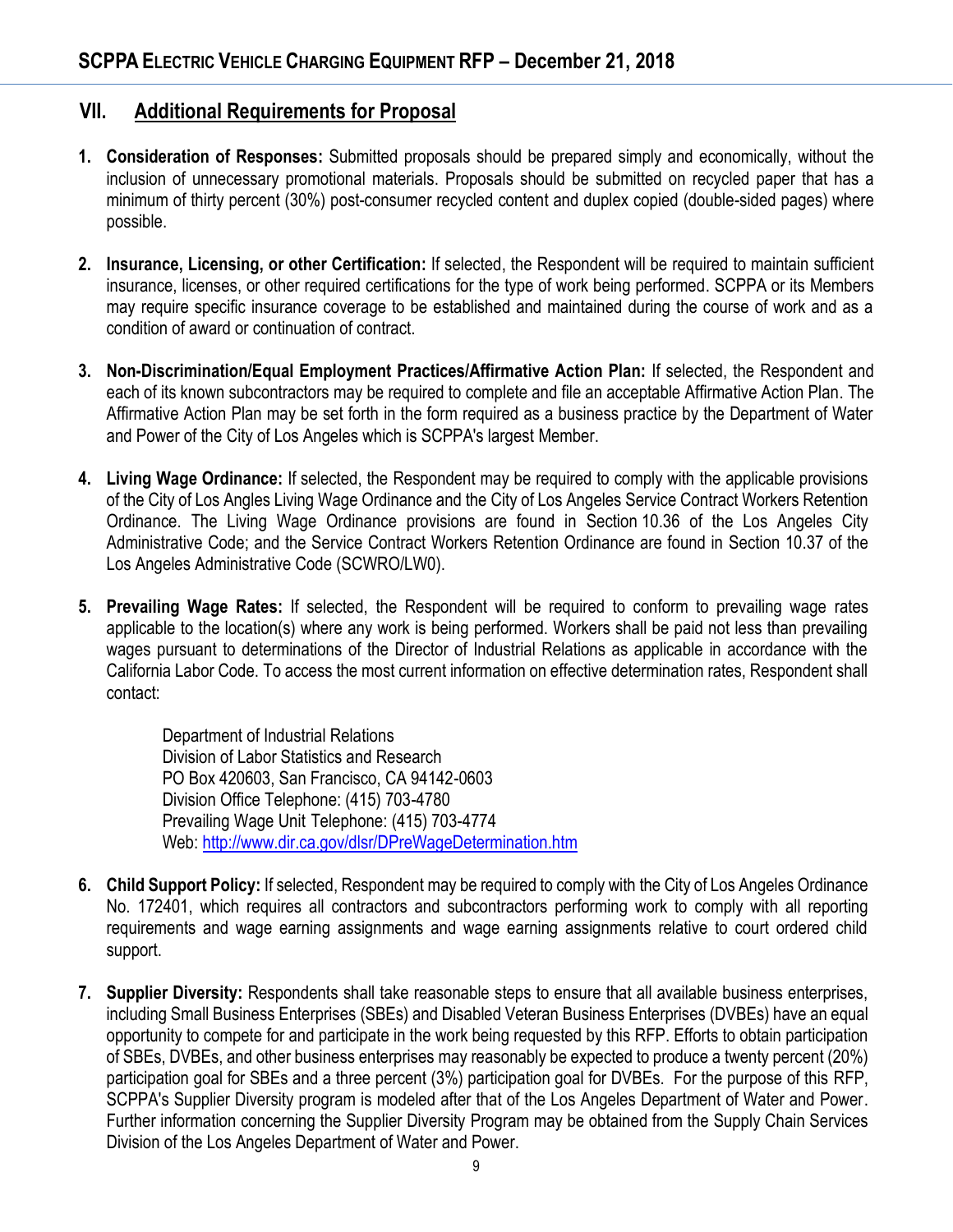## **VII. Additional Requirements for Proposal**

- **1. Consideration of Responses:** Submitted proposals should be prepared simply and economically, without the inclusion of unnecessary promotional materials. Proposals should be submitted on recycled paper that has a minimum of thirty percent (30%) post-consumer recycled content and duplex copied (double-sided pages) where possible.
- **2. Insurance, Licensing, or other Certification:** If selected, the Respondent will be required to maintain sufficient insurance, licenses, or other required certifications for the type of work being performed. SCPPA or its Members may require specific insurance coverage to be established and maintained during the course of work and as a condition of award or continuation of contract.
- **3. Non-Discrimination/Equal Employment Practices/Affirmative Action Plan:** If selected, the Respondent and each of its known subcontractors may be required to complete and file an acceptable Affirmative Action Plan. The Affirmative Action Plan may be set forth in the form required as a business practice by the Department of Water and Power of the City of Los Angeles which is SCPPA's largest Member.
- **4. Living Wage Ordinance:** If selected, the Respondent may be required to comply with the applicable provisions of the City of Los Angles Living Wage Ordinance and the City of Los Angeles Service Contract Workers Retention Ordinance. The Living Wage Ordinance provisions are found in Section 10.36 of the Los Angeles City Administrative Code; and the Service Contract Workers Retention Ordinance are found in Section 10.37 of the Los Angeles Administrative Code (SCWRO/LW0).
- **5. Prevailing Wage Rates:** If selected, the Respondent will be required to conform to prevailing wage rates applicable to the location(s) where any work is being performed. Workers shall be paid not less than prevailing wages pursuant to determinations of the Director of Industrial Relations as applicable in accordance with the California Labor Code. To access the most current information on effective determination rates, Respondent shall contact:

Department of Industrial Relations Division of Labor Statistics and Research PO Box 420603, San Francisco, CA 94142-0603 Division Office Telephone: (415) 703-4780 Prevailing Wage Unit Telephone: (415) 703-4774 Web:<http://www.dir.ca.gov/dlsr/DPreWageDetermination.htm>

- **6. Child Support Policy:** If selected, Respondent may be required to comply with the City of Los Angeles Ordinance No. 172401, which requires all contractors and subcontractors performing work to comply with all reporting requirements and wage earning assignments and wage earning assignments relative to court ordered child support.
- **7. Supplier Diversity:** Respondents shall take reasonable steps to ensure that all available business enterprises, including Small Business Enterprises (SBEs) and Disabled Veteran Business Enterprises (DVBEs) have an equal opportunity to compete for and participate in the work being requested by this RFP. Efforts to obtain participation of SBEs, DVBEs, and other business enterprises may reasonably be expected to produce a twenty percent (20%) participation goal for SBEs and a three percent (3%) participation goal for DVBEs. For the purpose of this RFP, SCPPA's Supplier Diversity program is modeled after that of the Los Angeles Department of Water and Power. Further information concerning the Supplier Diversity Program may be obtained from the Supply Chain Services Division of the Los Angeles Department of Water and Power.